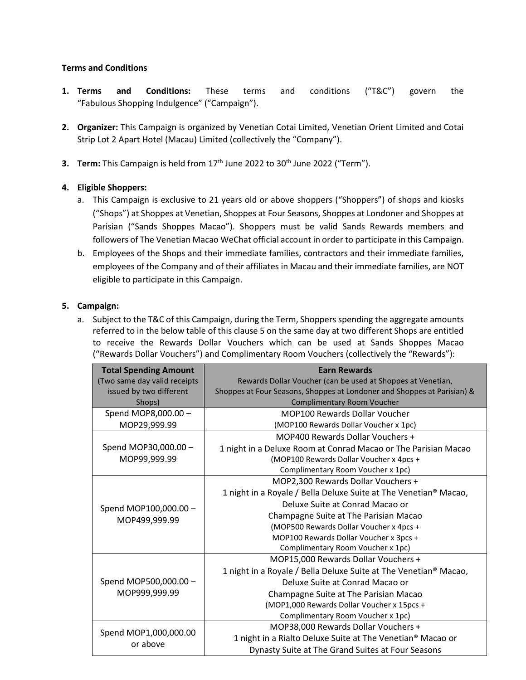## **Terms and Conditions**

- **1. Terms and Conditions:** These terms and conditions ("T&C") govern the "Fabulous Shopping Indulgence" ("Campaign").
- **2. Organizer:** This Campaign is organized by Venetian Cotai Limited, Venetian Orient Limited and Cotai Strip Lot 2 Apart Hotel (Macau) Limited (collectively the "Company").
- **3. Term:** This Campaign is held from 17<sup>th</sup> June 2022 to 30<sup>th</sup> June 2022 ("Term").

## **4. Eligible Shoppers:**

- a. This Campaign is exclusive to 21 years old or above shoppers ("Shoppers") of shops and kiosks ("Shops") at Shoppes at Venetian, Shoppes at Four Seasons, Shoppes at Londoner and Shoppes at Parisian ("Sands Shoppes Macao"). Shoppers must be valid Sands Rewards members and followers of The Venetian Macao WeChat official account in order to participate in this Campaign.
- b. Employees of the Shops and their immediate families, contractors and their immediate families, employees of the Company and of their affiliates in Macau and their immediate families, are NOT eligible to participate in this Campaign.

## **5. Campaign:**

a. Subject to the T&C of this Campaign, during the Term, Shoppers spending the aggregate amounts referred to in the below table of this clause 5 on the same day at two different Shops are entitled to receive the Rewards Dollar Vouchers which can be used at Sands Shoppes Macao ("Rewards Dollar Vouchers") and Complimentary Room Vouchers (collectively the "Rewards"):

| <b>Total Spending Amount</b>           | <b>Earn Rewards</b>                                                     |
|----------------------------------------|-------------------------------------------------------------------------|
| (Two same day valid receipts           | Rewards Dollar Voucher (can be used at Shoppes at Venetian,             |
| issued by two different                | Shoppes at Four Seasons, Shoppes at Londoner and Shoppes at Parisian) & |
| Shops)                                 | <b>Complimentary Room Voucher</b>                                       |
| Spend MOP8,000.00 -                    | <b>MOP100 Rewards Dollar Voucher</b>                                    |
| MOP29,999.99                           | (MOP100 Rewards Dollar Voucher x 1pc)                                   |
| Spend MOP30,000.00 -<br>MOP99,999.99   | MOP400 Rewards Dollar Vouchers +                                        |
|                                        | 1 night in a Deluxe Room at Conrad Macao or The Parisian Macao          |
|                                        | (MOP100 Rewards Dollar Voucher x 4pcs +                                 |
|                                        | Complimentary Room Voucher x 1pc)                                       |
| Spend MOP100,000.00 -<br>MOP499,999.99 | MOP2,300 Rewards Dollar Vouchers +                                      |
|                                        | 1 night in a Royale / Bella Deluxe Suite at The Venetian® Macao,        |
|                                        | Deluxe Suite at Conrad Macao or                                         |
|                                        | Champagne Suite at The Parisian Macao                                   |
|                                        | (MOP500 Rewards Dollar Voucher x 4pcs +                                 |
|                                        | MOP100 Rewards Dollar Voucher x 3pcs +                                  |
|                                        | Complimentary Room Voucher x 1pc)                                       |
| Spend MOP500,000.00 -<br>MOP999,999.99 | MOP15,000 Rewards Dollar Vouchers +                                     |
|                                        | 1 night in a Royale / Bella Deluxe Suite at The Venetian® Macao,        |
|                                        | Deluxe Suite at Conrad Macao or                                         |
|                                        | Champagne Suite at The Parisian Macao                                   |
|                                        | (MOP1,000 Rewards Dollar Voucher x 15pcs +                              |
|                                        | Complimentary Room Voucher x 1pc)                                       |
| Spend MOP1,000,000.00<br>or above      | MOP38,000 Rewards Dollar Vouchers +                                     |
|                                        | 1 night in a Rialto Deluxe Suite at The Venetian® Macao or              |
|                                        | Dynasty Suite at The Grand Suites at Four Seasons                       |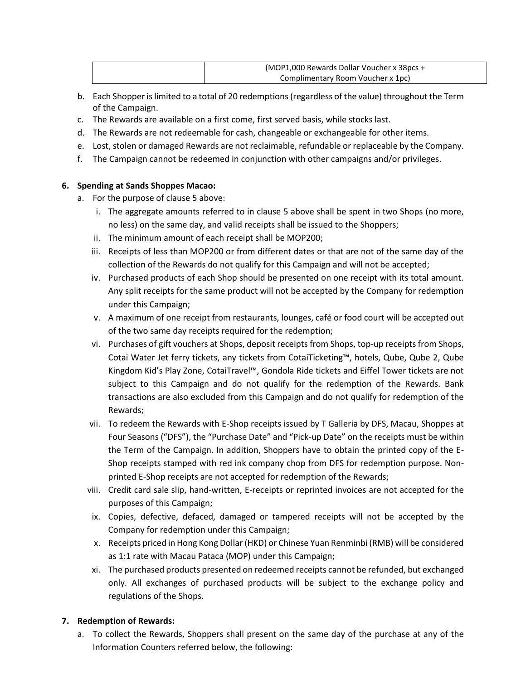| (MOP1,000 Rewards Dollar Voucher x 38pcs + |
|--------------------------------------------|
| Complimentary Room Voucher x 1pc)          |

- b. Each Shopper is limited to a total of 20 redemptions (regardless of the value) throughout the Term of the Campaign.
- c. The Rewards are available on a first come, first served basis, while stocks last.
- d. The Rewards are not redeemable for cash, changeable or exchangeable for other items.
- e. Lost, stolen or damaged Rewards are not reclaimable, refundable or replaceable by the Company.
- f. The Campaign cannot be redeemed in conjunction with other campaigns and/or privileges.

## **6. Spending at Sands Shoppes Macao:**

- a. For the purpose of clause 5 above:
	- i. The aggregate amounts referred to in clause 5 above shall be spent in two Shops (no more, no less) on the same day, and valid receipts shall be issued to the Shoppers;
	- ii. The minimum amount of each receipt shall be MOP200;
	- iii. Receipts of less than MOP200 or from different dates or that are not of the same day of the collection of the Rewards do not qualify for this Campaign and will not be accepted;
	- iv. Purchased products of each Shop should be presented on one receipt with its total amount. Any split receipts for the same product will not be accepted by the Company for redemption under this Campaign;
	- v. A maximum of one receipt from restaurants, lounges, café or food court will be accepted out of the two same day receipts required for the redemption;
	- vi. Purchases of gift vouchers at Shops, deposit receipts from Shops, top-up receipts from Shops, Cotai Water Jet ferry tickets, any tickets from CotaiTicketing™, hotels, Qube, Qube 2, Qube Kingdom Kid's Play Zone, CotaiTravel™, Gondola Ride tickets and Eiffel Tower tickets are not subject to this Campaign and do not qualify for the redemption of the Rewards. Bank transactions are also excluded from this Campaign and do not qualify for redemption of the Rewards;
	- vii. To redeem the Rewards with E-Shop receipts issued by T Galleria by DFS, Macau, Shoppes at Four Seasons ("DFS"), the "Purchase Date" and "Pick-up Date" on the receipts must be within the Term of the Campaign. In addition, Shoppers have to obtain the printed copy of the E-Shop receipts stamped with red ink company chop from DFS for redemption purpose. Nonprinted E-Shop receipts are not accepted for redemption of the Rewards;
	- viii. Credit card sale slip, hand-written, E-receipts or reprinted invoices are not accepted for the purposes of this Campaign;
	- ix. Copies, defective, defaced, damaged or tampered receipts will not be accepted by the Company for redemption under this Campaign;
	- x. Receipts priced in Hong Kong Dollar (HKD) or Chinese Yuan Renminbi (RMB) will be considered as 1:1 rate with Macau Pataca (MOP) under this Campaign;
	- xi. The purchased products presented on redeemed receipts cannot be refunded, but exchanged only. All exchanges of purchased products will be subject to the exchange policy and regulations of the Shops.

## **7. Redemption of Rewards:**

a. To collect the Rewards, Shoppers shall present on the same day of the purchase at any of the Information Counters referred below, the following: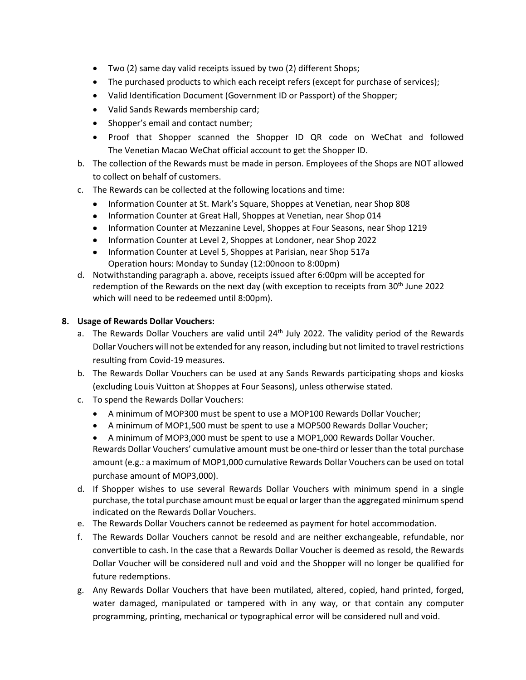- Two (2) same day valid receipts issued by two (2) different Shops;
- The purchased products to which each receipt refers (except for purchase of services);
- Valid Identification Document (Government ID or Passport) of the Shopper;
- Valid Sands Rewards membership card;
- Shopper's email and contact number;
- Proof that Shopper scanned the Shopper ID QR code on WeChat and followed The Venetian Macao WeChat official account to get the Shopper ID.
- b. The collection of the Rewards must be made in person. Employees of the Shops are NOT allowed to collect on behalf of customers.
- c. The Rewards can be collected at the following locations and time:
	- Information Counter at St. Mark's Square, Shoppes at Venetian, near Shop 808
	- Information Counter at Great Hall, Shoppes at Venetian, near Shop 014
	- Information Counter at Mezzanine Level, Shoppes at Four Seasons, near Shop 1219
	- Information Counter at Level 2, Shoppes at Londoner, near Shop 2022
	- Information Counter at Level 5, Shoppes at Parisian, near Shop 517a Operation hours: Monday to Sunday (12:00noon to 8:00pm)
- d. Notwithstanding paragraph a. above, receipts issued after 6:00pm will be accepted for redemption of the Rewards on the next day (with exception to receipts from  $30<sup>th</sup>$  June 2022 which will need to be redeemed until 8:00pm).

#### **8. Usage of Rewards Dollar Vouchers:**

- a. The Rewards Dollar Vouchers are valid until  $24<sup>th</sup>$  July 2022. The validity period of the Rewards Dollar Vouchers will not be extended for any reason, including but not limited to travel restrictions resulting from Covid-19 measures.
- b. The Rewards Dollar Vouchers can be used at any Sands Rewards participating shops and kiosks (excluding Louis Vuitton at Shoppes at Four Seasons), unless otherwise stated.
- c. To spend the Rewards Dollar Vouchers:
	- A minimum of MOP300 must be spent to use a MOP100 Rewards Dollar Voucher;
	- A minimum of MOP1,500 must be spent to use a MOP500 Rewards Dollar Voucher;

• A minimum of MOP3,000 must be spent to use a MOP1,000 Rewards Dollar Voucher. Rewards Dollar Vouchers' cumulative amount must be one-third or lesser than the total purchase amount (e.g.: a maximum of MOP1,000 cumulative Rewards Dollar Vouchers can be used on total purchase amount of MOP3,000).

- d. If Shopper wishes to use several Rewards Dollar Vouchers with minimum spend in a single purchase, the total purchase amount must be equal or larger than the aggregated minimum spend indicated on the Rewards Dollar Vouchers.
- e. The Rewards Dollar Vouchers cannot be redeemed as payment for hotel accommodation.
- f. The Rewards Dollar Vouchers cannot be resold and are neither exchangeable, refundable, nor convertible to cash. In the case that a Rewards Dollar Voucher is deemed as resold, the Rewards Dollar Voucher will be considered null and void and the Shopper will no longer be qualified for future redemptions.
- g. Any Rewards Dollar Vouchers that have been mutilated, altered, copied, hand printed, forged, water damaged, manipulated or tampered with in any way, or that contain any computer programming, printing, mechanical or typographical error will be considered null and void.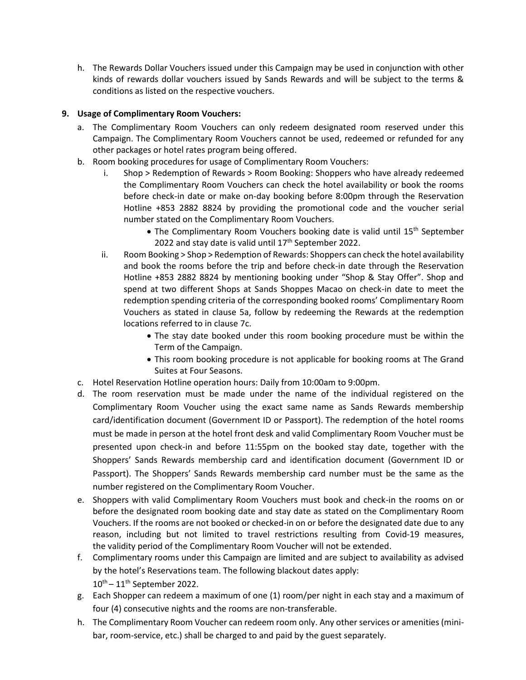h. The Rewards Dollar Vouchers issued under this Campaign may be used in conjunction with other kinds of rewards dollar vouchers issued by Sands Rewards and will be subject to the terms & conditions as listed on the respective vouchers.

# **9. Usage of Complimentary Room Vouchers:**

- a. The Complimentary Room Vouchers can only redeem designated room reserved under this Campaign. The Complimentary Room Vouchers cannot be used, redeemed or refunded for any other packages or hotel rates program being offered.
- b. Room booking procedures for usage of Complimentary Room Vouchers:
	- i. Shop > Redemption of Rewards > Room Booking: Shoppers who have already redeemed the Complimentary Room Vouchers can check the hotel availability or book the rooms before check-in date or make on-day booking before 8:00pm through the Reservation Hotline +853 2882 8824 by providing the promotional code and the voucher serial number stated on the Complimentary Room Vouchers.
		- The Complimentary Room Vouchers booking date is valid until 15<sup>th</sup> September 2022 and stay date is valid until  $17<sup>th</sup>$  September 2022.
	- ii. Room Booking > Shop > Redemption of Rewards: Shoppers can check the hotel availability and book the rooms before the trip and before check-in date through the Reservation Hotline +853 2882 8824 by mentioning booking under "Shop & Stay Offer". Shop and spend at two different Shops at Sands Shoppes Macao on check-in date to meet the redemption spending criteria of the corresponding booked rooms' Complimentary Room Vouchers as stated in clause 5a, follow by redeeming the Rewards at the redemption locations referred to in clause 7c.
		- The stay date booked under this room booking procedure must be within the Term of the Campaign.
		- This room booking procedure is not applicable for booking rooms at The Grand Suites at Four Seasons.
- c. Hotel Reservation Hotline operation hours: Daily from 10:00am to 9:00pm.
- d. The room reservation must be made under the name of the individual registered on the Complimentary Room Voucher using the exact same name as Sands Rewards membership card/identification document (Government ID or Passport). The redemption of the hotel rooms must be made in person at the hotel front desk and valid Complimentary Room Voucher must be presented upon check-in and before 11:55pm on the booked stay date, together with the Shoppers' Sands Rewards membership card and identification document (Government ID or Passport). The Shoppers' Sands Rewards membership card number must be the same as the number registered on the Complimentary Room Voucher.
- e. Shoppers with valid Complimentary Room Vouchers must book and check-in the rooms on or before the designated room booking date and stay date as stated on the Complimentary Room Vouchers. If the rooms are not booked or checked-in on or before the designated date due to any reason, including but not limited to travel restrictions resulting from Covid-19 measures, the validity period of the Complimentary Room Voucher will not be extended.
- f. Complimentary rooms under this Campaign are limited and are subject to availability as advised by the hotel's Reservations team. The following blackout dates apply:  $10^{\text{th}} - 11^{\text{th}}$  September 2022.
- g. Each Shopper can redeem a maximum of one (1) room/per night in each stay and a maximum of four (4) consecutive nights and the rooms are non-transferable.
- h. The Complimentary Room Voucher can redeem room only. Any other services or amenities (minibar, room-service, etc.) shall be charged to and paid by the guest separately.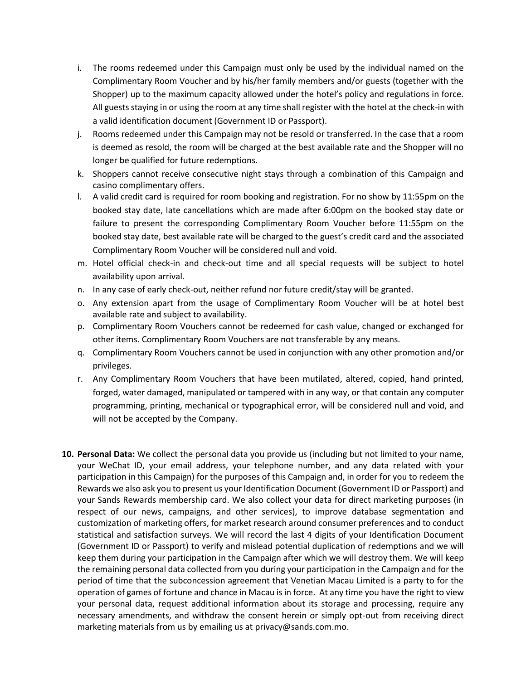- i. The rooms redeemed under this Campaign must only be used by the individual named on the Complimentary Room Voucher and by his/her family members and/or guests (together with the Shopper) up to the maximum capacity allowed under the hotel's policy and regulations in force. All guests staying in or using the room at any time shall register with the hotel at the check-in with a valid identification document (Government ID or Passport).
- j. Rooms redeemed under this Campaign may not be resold or transferred. In the case that a room is deemed as resold, the room will be charged at the best available rate and the Shopper will no longer be qualified for future redemptions.
- k. Shoppers cannot receive consecutive night stays through a combination of this Campaign and casino complimentary offers.
- l. A valid credit card is required for room booking and registration. For no show by 11:55pm on the booked stay date, late cancellations which are made after 6:00pm on the booked stay date or failure to present the corresponding Complimentary Room Voucher before 11:55pm on the booked stay date, best available rate will be charged to the guest's credit card and the associated Complimentary Room Voucher will be considered null and void.
- m. Hotel official check-in and check-out time and all special requests will be subject to hotel availability upon arrival.
- n. In any case of early check-out, neither refund nor future credit/stay will be granted.
- o. Any extension apart from the usage of Complimentary Room Voucher will be at hotel best available rate and subject to availability.
- p. Complimentary Room Vouchers cannot be redeemed for cash value, changed or exchanged for other items. Complimentary Room Vouchers are not transferable by any means.
- q. Complimentary Room Vouchers cannot be used in conjunction with any other promotion and/or privileges.
- r. Any Complimentary Room Vouchers that have been mutilated, altered, copied, hand printed, forged, water damaged, manipulated or tampered with in any way, or that contain any computer programming, printing, mechanical or typographical error, will be considered null and void, and will not be accepted by the Company.
- **10. Personal Data:** We collect the personal data you provide us (including but not limited to your name, your WeChat ID, your email address, your telephone number, and any data related with your participation in this Campaign) for the purposes of this Campaign and, in order for you to redeem the Rewards we also ask you to present us your Identification Document (Government ID or Passport) and your Sands Rewards membership card. We also collect your data for direct marketing purposes (in respect of our news, campaigns, and other services), to improve database segmentation and customization of marketing offers, for market research around consumer preferences and to conduct statistical and satisfaction surveys. We will record the last 4 digits of your Identification Document (Government ID or Passport) to verify and mislead potential duplication of redemptions and we will keep them during your participation in the Campaign after which we will destroy them. We will keep the remaining personal data collected from you during your participation in the Campaign and for the period of time that the subconcession agreement that Venetian Macau Limited is a party to for the operation of games of fortune and chance in Macau is in force. At any time you have the right to view your personal data, request additional information about its storage and processing, require any necessary amendments, and withdraw the consent herein or simply opt-out from receiving direct marketing materials from us by emailing us at privacy@sands.com.mo.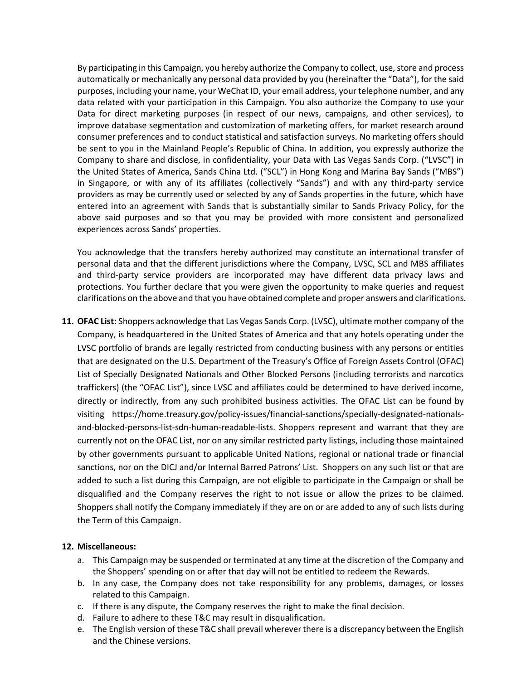By participating in this Campaign, you hereby authorize the Company to collect, use, store and process automatically or mechanically any personal data provided by you (hereinafter the "Data"), for the said purposes, including your name, your WeChat ID, your email address, your telephone number, and any data related with your participation in this Campaign. You also authorize the Company to use your Data for direct marketing purposes (in respect of our news, campaigns, and other services), to improve database segmentation and customization of marketing offers, for market research around consumer preferences and to conduct statistical and satisfaction surveys. No marketing offers should be sent to you in the Mainland People's Republic of China. In addition, you expressly authorize the Company to share and disclose, in confidentiality, your Data with Las Vegas Sands Corp. ("LVSC") in the United States of America, Sands China Ltd. ("SCL") in Hong Kong and Marina Bay Sands ("MBS") in Singapore, or with any of its affiliates (collectively "Sands") and with any third-party service providers as may be currently used or selected by any of Sands properties in the future, which have entered into an agreement with Sands that is substantially similar to Sands Privacy Policy, for the above said purposes and so that you may be provided with more consistent and personalized experiences across Sands' properties.

You acknowledge that the transfers hereby authorized may constitute an international transfer of personal data and that the different jurisdictions where the Company, LVSC, SCL and MBS affiliates and third-party service providers are incorporated may have different data privacy laws and protections. You further declare that you were given the opportunity to make queries and request clarifications on the above and that you have obtained complete and proper answers and clarifications.

**11. OFAC List:** Shoppers acknowledge that Las Vegas Sands Corp. (LVSC), ultimate mother company of the Company, is headquartered in the United States of America and that any hotels operating under the LVSC portfolio of brands are legally restricted from conducting business with any persons or entities that are designated on the U.S. Department of the Treasury's Office of Foreign Assets Control (OFAC) List of Specially Designated Nationals and Other Blocked Persons (including terrorists and narcotics traffickers) (the "OFAC List"), since LVSC and affiliates could be determined to have derived income, directly or indirectly, from any such prohibited business activities. The OFAC List can be found by visiting https://home.treasury.gov/policy-issues/financial-sanctions/specially-designated-nationalsand-blocked-persons-list-sdn-human-readable-lists. Shoppers represent and warrant that they are currently not on the OFAC List, nor on any similar restricted party listings, including those maintained by other governments pursuant to applicable United Nations, regional or national trade or financial sanctions, nor on the DICJ and/or Internal Barred Patrons' List. Shoppers on any such list or that are added to such a list during this Campaign, are not eligible to participate in the Campaign or shall be disqualified and the Company reserves the right to not issue or allow the prizes to be claimed. Shoppers shall notify the Company immediately if they are on or are added to any of such lists during the Term of this Campaign.

#### **12. Miscellaneous:**

- a. This Campaign may be suspended or terminated at any time at the discretion of the Company and the Shoppers' spending on or after that day will not be entitled to redeem the Rewards.
- b. In any case, the Company does not take responsibility for any problems, damages, or losses related to this Campaign.
- c. If there is any dispute, the Company reserves the right to make the final decision.
- d. Failure to adhere to these T&C may result in disqualification.
- e. The English version of these T&C shall prevail wherever there is a discrepancy between the English and the Chinese versions.